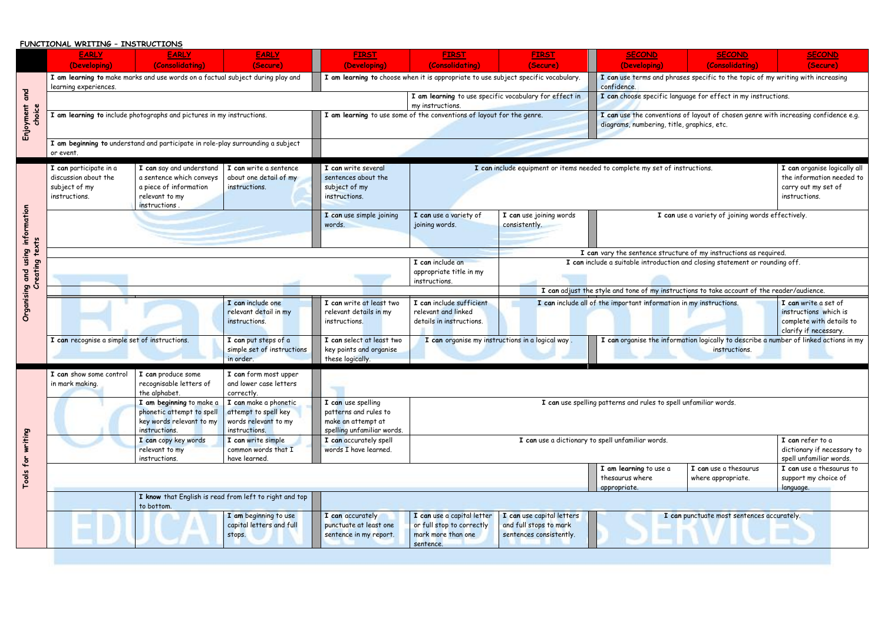## **FUNCTIONAL WRITING – INSTRUCTIONS**

|                                                                  | <b>EARLY</b>                                                                                                                                 | <b>EARLY</b>                                                                                                     | <b>EARLY</b>                                                                                                                                                                                                                           | <b>FIRST</b>                                                                                                                                                                                                                                                                                       | <b>FIRST</b>                                                                       | <b>FIRST</b>                             | <b>SECOND</b>                                                                                                                     | <b>SECOND</b>                                                             | <b>SECOND</b>                                                                                      |
|------------------------------------------------------------------|----------------------------------------------------------------------------------------------------------------------------------------------|------------------------------------------------------------------------------------------------------------------|----------------------------------------------------------------------------------------------------------------------------------------------------------------------------------------------------------------------------------------|----------------------------------------------------------------------------------------------------------------------------------------------------------------------------------------------------------------------------------------------------------------------------------------------------|------------------------------------------------------------------------------------|------------------------------------------|-----------------------------------------------------------------------------------------------------------------------------------|---------------------------------------------------------------------------|----------------------------------------------------------------------------------------------------|
|                                                                  | (Developing)                                                                                                                                 | (Consolidating)                                                                                                  | (Secure)                                                                                                                                                                                                                               | (Developing)                                                                                                                                                                                                                                                                                       | (Consolidating)                                                                    | (Secure)                                 | (Developing)                                                                                                                      | (Consolidating)                                                           | (Secure)                                                                                           |
| and<br>Enjoyment<br>choice                                       | I am learning to make marks and use words on a factual subject during play and<br>learning experiences.                                      |                                                                                                                  |                                                                                                                                                                                                                                        |                                                                                                                                                                                                                                                                                                    | I am learning to choose when it is appropriate to use subject specific vocabulary. |                                          | I can use terms and phrases specific to the topic of my writing with increasing<br>confidence.                                    |                                                                           |                                                                                                    |
|                                                                  |                                                                                                                                              |                                                                                                                  |                                                                                                                                                                                                                                        |                                                                                                                                                                                                                                                                                                    | I am learning to use specific vocabulary for effect in<br>my instructions.         |                                          | I can choose specific language for effect in my instructions.                                                                     |                                                                           |                                                                                                    |
|                                                                  | I am learning to include photographs and pictures in my instructions.                                                                        |                                                                                                                  |                                                                                                                                                                                                                                        | I am learning to use some of the conventions of layout for the genre.                                                                                                                                                                                                                              |                                                                                    |                                          | I can use the conventions of layout of chosen genre with increasing confidence e.g.<br>diagrams, numbering, title, graphics, etc. |                                                                           |                                                                                                    |
|                                                                  | I am beginning to understand and participate in role-play surrounding a subject<br>or event.                                                 |                                                                                                                  |                                                                                                                                                                                                                                        |                                                                                                                                                                                                                                                                                                    |                                                                                    |                                          |                                                                                                                                   |                                                                           |                                                                                                    |
| using information<br>eating<br>and<br>Organising<br>$\mathbf{c}$ | I can participate in a<br>discussion about the<br>subject of my<br>instructions.                                                             | I can say and understand<br>a sentence which conveys<br>a piece of information<br>relevant to my<br>instructions | I can write a sentence<br>about one detail of my<br>instructions.                                                                                                                                                                      | I can write several<br>sentences about the<br>subject of my<br>instructions.                                                                                                                                                                                                                       | I can include equipment or items needed to complete my set of instructions.        |                                          |                                                                                                                                   |                                                                           | I can organise logically all<br>the information needed to<br>carry out my set of<br>instructions.  |
|                                                                  |                                                                                                                                              |                                                                                                                  |                                                                                                                                                                                                                                        | I can use simple joining<br>words.                                                                                                                                                                                                                                                                 | I can use a variety of<br>joining words.                                           | I can use joining words<br>consistently. |                                                                                                                                   | I can use a variety of joining words effectively.                         |                                                                                                    |
|                                                                  | I can vary the sentence structure of my instructions as required.                                                                            |                                                                                                                  |                                                                                                                                                                                                                                        |                                                                                                                                                                                                                                                                                                    |                                                                                    |                                          |                                                                                                                                   |                                                                           |                                                                                                    |
|                                                                  | I can include an<br>I can include a suitable introduction and closing statement or rounding off.<br>appropriate title in my<br>instructions. |                                                                                                                  |                                                                                                                                                                                                                                        |                                                                                                                                                                                                                                                                                                    |                                                                                    |                                          |                                                                                                                                   |                                                                           |                                                                                                    |
|                                                                  | I can adjust the style and tone of my instructions to take account of the reader/audience.                                                   |                                                                                                                  |                                                                                                                                                                                                                                        |                                                                                                                                                                                                                                                                                                    |                                                                                    |                                          |                                                                                                                                   |                                                                           |                                                                                                    |
|                                                                  |                                                                                                                                              |                                                                                                                  | I can include one<br>relevant detail in my<br>instructions.                                                                                                                                                                            | I can write at least two<br>relevant details in my<br>instructions.                                                                                                                                                                                                                                | I can include sufficient<br>relevant and linked<br>details in instructions.        |                                          | I can include all of the important information in my instructions.                                                                |                                                                           | I can write a set of<br>instructions which is<br>complete with details to<br>clarify if necessary. |
|                                                                  | I can recognise a simple set of instructions.<br>I can put steps of a<br>simple set of instructions<br>in order.                             |                                                                                                                  | I can organise the information logically to describe a number of linked actions in my<br>I can select at least two<br>I can organise my instructions in a logical way.<br>key points and organise<br>instructions.<br>these logically. |                                                                                                                                                                                                                                                                                                    |                                                                                    |                                          |                                                                                                                                   |                                                                           |                                                                                                    |
| writing<br>Tools for                                             | I can show some control<br>in mark making.                                                                                                   | I can produce some<br>recognisable letters of<br>the alphabet.                                                   | I can form most upper<br>and lower case letters<br>correctly.                                                                                                                                                                          |                                                                                                                                                                                                                                                                                                    |                                                                                    |                                          |                                                                                                                                   |                                                                           |                                                                                                    |
|                                                                  |                                                                                                                                              | I am beginning to make a<br>phonetic attempt to spell<br>key words relevant to my<br>instructions.               | I can make a phonetic<br>attempt to spell key<br>words relevant to my<br>instructions.                                                                                                                                                 | I can use spelling patterns and rules to spell unfamiliar words.<br>I can use spelling<br>patterns and rules to<br>make an attempt at<br>spelling unfamiliar words.                                                                                                                                |                                                                                    |                                          |                                                                                                                                   |                                                                           |                                                                                                    |
|                                                                  |                                                                                                                                              | I can copy key words<br>relevant to my<br>instructions.                                                          | I can write simple<br>common words that I<br>have learned.                                                                                                                                                                             | I can accurately spell<br>I can use a dictionary to spell unfamiliar words.<br>words I have learned.                                                                                                                                                                                               |                                                                                    |                                          |                                                                                                                                   | I can refer to a<br>dictionary if necessary to<br>spell unfamiliar words. |                                                                                                    |
|                                                                  |                                                                                                                                              |                                                                                                                  |                                                                                                                                                                                                                                        |                                                                                                                                                                                                                                                                                                    |                                                                                    |                                          | I am learning to use a<br>thesaurus where<br>appropriate.                                                                         | I can use a thesaurus<br>where appropriate.                               | I can use a thesaurus to<br>support my choice of<br>language.                                      |
|                                                                  |                                                                                                                                              | to bottom.                                                                                                       | I know that English is read from left to right and top                                                                                                                                                                                 |                                                                                                                                                                                                                                                                                                    |                                                                                    |                                          |                                                                                                                                   |                                                                           |                                                                                                    |
|                                                                  |                                                                                                                                              |                                                                                                                  | I am beginning to use<br>capital letters and full<br>stops.                                                                                                                                                                            | I can use a capital letter<br>I can use capital letters<br>I can accurately<br>I can punctuate most sentences accurately.<br>punctuate at least one<br>or full stop to correctly<br>and full stops to mark<br>mark more than one<br>sentences consistently.<br>sentence in my report.<br>sentence. |                                                                                    |                                          |                                                                                                                                   |                                                                           |                                                                                                    |

|                | <b>FIRST</b>                                                                                  | <b>SECOND</b>                                                                                                                                                    | <b>SECOND</b>                                                                                      | <b>SECOND</b>                                                                                     |  |  |  |  |
|----------------|-----------------------------------------------------------------------------------------------|------------------------------------------------------------------------------------------------------------------------------------------------------------------|----------------------------------------------------------------------------------------------------|---------------------------------------------------------------------------------------------------|--|--|--|--|
| 1)             | (Secure)<br>o use subject specific vocabulary.                                                | (Developing)                                                                                                                                                     | (Consolidating)<br>I can use terms and phrases specific to the topic of my writing with increasing | (Secure)                                                                                          |  |  |  |  |
|                | e specific vocabulary for effect in                                                           | confidence.                                                                                                                                                      | I can choose specific language for effect in my instructions.                                      |                                                                                                   |  |  |  |  |
|                |                                                                                               |                                                                                                                                                                  |                                                                                                    |                                                                                                   |  |  |  |  |
|                | I ayout for the genre.                                                                        | diagrams, numbering, title, graphics, etc.                                                                                                                       |                                                                                                    | I can use the conventions of layout of chosen genre with increasing confidence e.g.               |  |  |  |  |
|                |                                                                                               |                                                                                                                                                                  |                                                                                                    |                                                                                                   |  |  |  |  |
|                |                                                                                               | I can include equipment or items needed to complete my set of instructions.                                                                                      |                                                                                                    | I can organise logically all<br>the information needed to<br>carry out my set of<br>instructions. |  |  |  |  |
| of             | I can use joining words<br>I can use a variety of joining words effectively.<br>consistently. |                                                                                                                                                                  |                                                                                                    |                                                                                                   |  |  |  |  |
|                | I can vary the sentence structure of my instructions as required.                             |                                                                                                                                                                  |                                                                                                    |                                                                                                   |  |  |  |  |
| my             | I can include a suitable introduction and closing statement or rounding off.                  |                                                                                                                                                                  |                                                                                                    |                                                                                                   |  |  |  |  |
| ient:          |                                                                                               | I can adjust the style and tone of my instructions to take account of the reader/audience.<br>I can include all of the important information in my instructions. |                                                                                                    | I can write a set of                                                                              |  |  |  |  |
| ns.            |                                                                                               |                                                                                                                                                                  |                                                                                                    | instructions which is<br>complete with details to<br>clarify if necessary.                        |  |  |  |  |
|                | ny instructions in a logical way .                                                            |                                                                                                                                                                  | instructions.                                                                                      | I can organise the information logically to describe a number of linked actions in my             |  |  |  |  |
|                |                                                                                               |                                                                                                                                                                  |                                                                                                    |                                                                                                   |  |  |  |  |
|                |                                                                                               | I can use spelling patterns and rules to spell unfamiliar words.                                                                                                 |                                                                                                    |                                                                                                   |  |  |  |  |
|                | I can use a dictionary to spell unfamiliar words.                                             | I can refer to a<br>dictionary if necessary to<br>spell unfamiliar words.                                                                                        |                                                                                                    |                                                                                                   |  |  |  |  |
|                |                                                                                               | I am learning to use a<br>thesaurus where<br>appropriate.                                                                                                        | I can use a thesaurus<br>where appropriate.                                                        | I can use a thesaurus to<br>support my choice of<br>language.                                     |  |  |  |  |
|                |                                                                                               |                                                                                                                                                                  |                                                                                                    |                                                                                                   |  |  |  |  |
| etter<br>ectly | I can use capital letters<br>and full stops to mark<br>sentences consistently.                |                                                                                                                                                                  | I can punctuate most sentences accurately.                                                         |                                                                                                   |  |  |  |  |